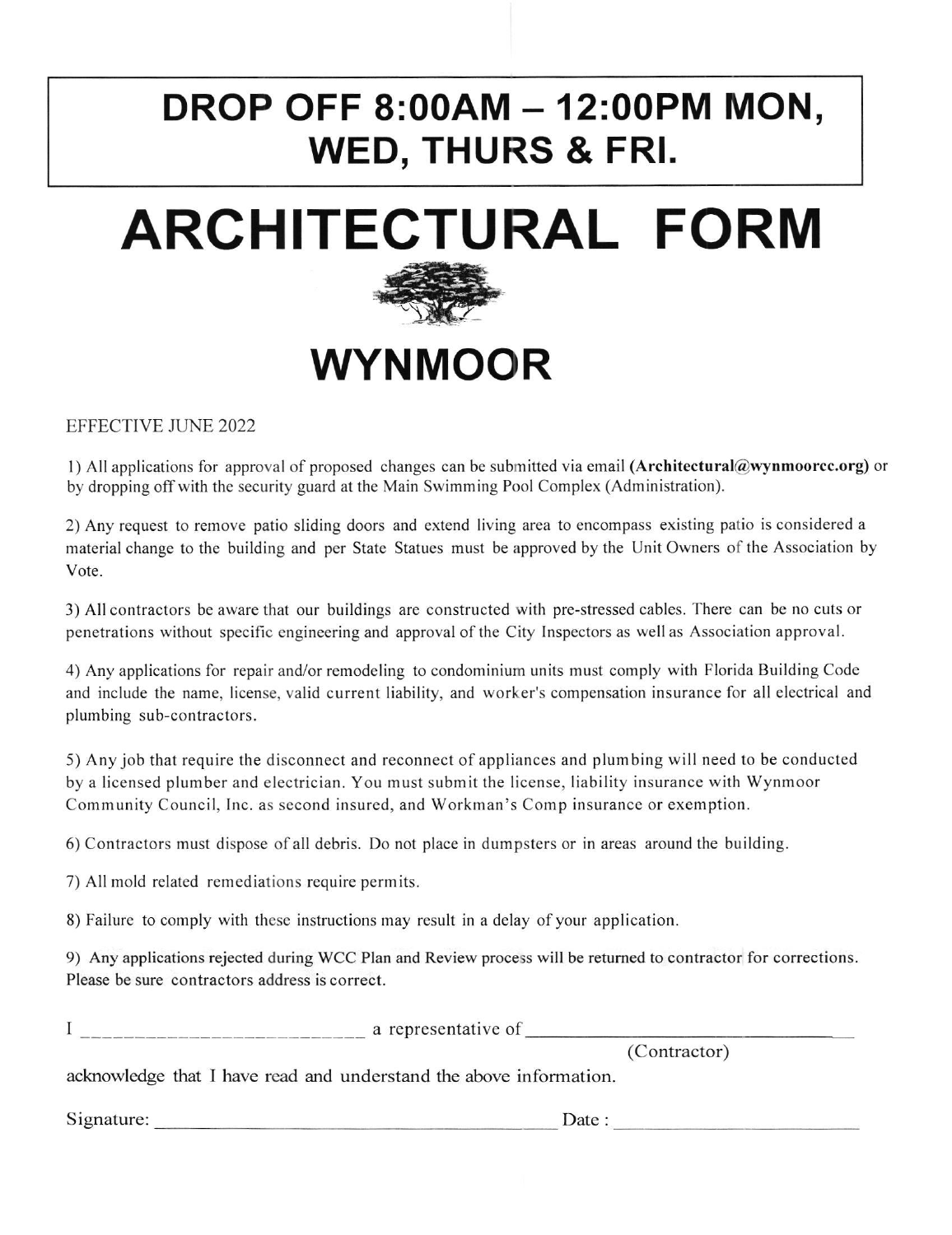# DROP OFF 8:00AM - 12:00PM MON, WED, THURS & FRI.





# WYNMOOR

EFFECTIVE JUNE 2022

l) All applications for approval of proposed changes can be submitted via email (Architectural@wynmoorcc.org) or by dropping off with the security guard at the Main Swimming Pool Complex (Administration).

2) Any request to remove patio sliding doors and extend living area to encompass existing patio is considered <sup>a</sup> material change to the building and per State Statues must be approved by the Unit Owners of the Association by Vote.

3) All contractors be aware that our buildings are constructed with pre-stressed cables. There can be no cuts or penetrations without specific engineering and approval of the City Inspectors as well as Association approval.

4) Any applications for repair and./or remodeling to condominium units must comply with Florida Building Code and include the name, license, valid current liability, and worker's compensation insurance for all electrical and plumbing sub-contractors.

5) Any job that require the disconncct and reconnect ofapplianccs and plurnbing will need to be conductcd by a licensed plumber and electrician. You must submit the license, liability insurance with Wynmoor Community Council, Inc. as second insured, and Workman's Comp insurance or exemption.

6) Contractors must dispose ofall debris. Do not place in dumpsters or in areas around the building.

7) All mold related remediations require permits.

8) Failure to comply with these instructions may result in a delay of your application.

9) Any applications rejected during WCC Plan and Review process will be retumed to contractor for corrections. Please be sure contractors address is correct.

<sup>I</sup> a representative of

(Contractor)

acknowledge that I have read and understand the above information.

Date : S ignature: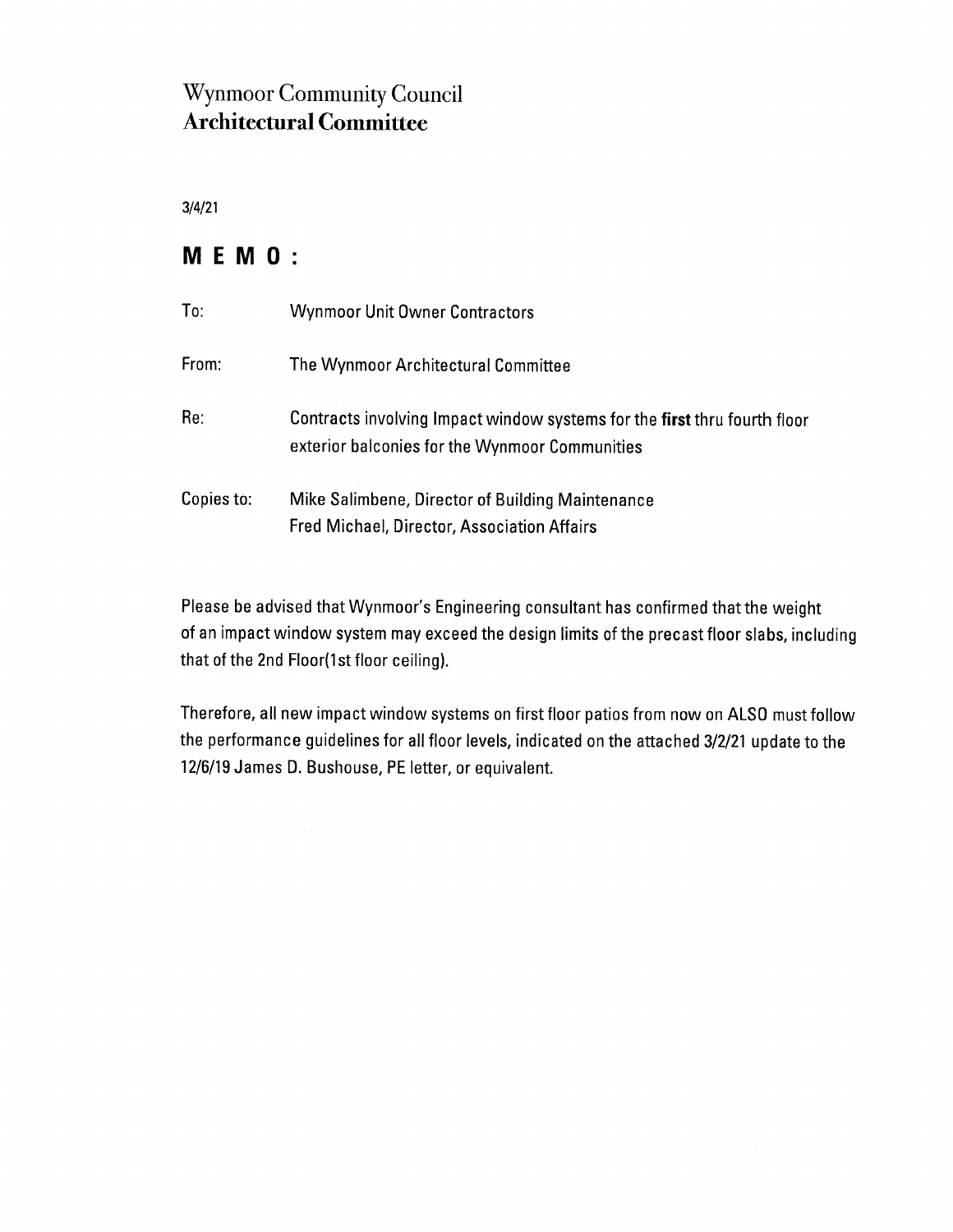## **Wynmoor Community Council Architectural Committee**

 $3/4/21$ 

### MEMO:

| To:        | <b>Wynmoor Unit Owner Contractors</b>                                                                                       |
|------------|-----------------------------------------------------------------------------------------------------------------------------|
| From:      | The Wynmoor Architectural Committee                                                                                         |
| Re:        | Contracts involving Impact window systems for the first thru fourth floor<br>exterior balconies for the Wynmoor Communities |
| Copies to: | Mike Salimbene, Director of Building Maintenance<br>Fred Michael, Director, Association Affairs                             |

Please be advised that Wynmoor's Engineering consultant has confirmed that the weight of an impact window system may exceed the design limits of the precast floor slabs, including that of the 2nd Floor(1st floor ceiling).

Therefore, all new impact window systems on first floor patios from now on ALSO must follow the performance guidelines for all floor levels, indicated on the attached 3/2/21 update to the 12/6/19 James D. Bushouse, PE letter, or equivalent.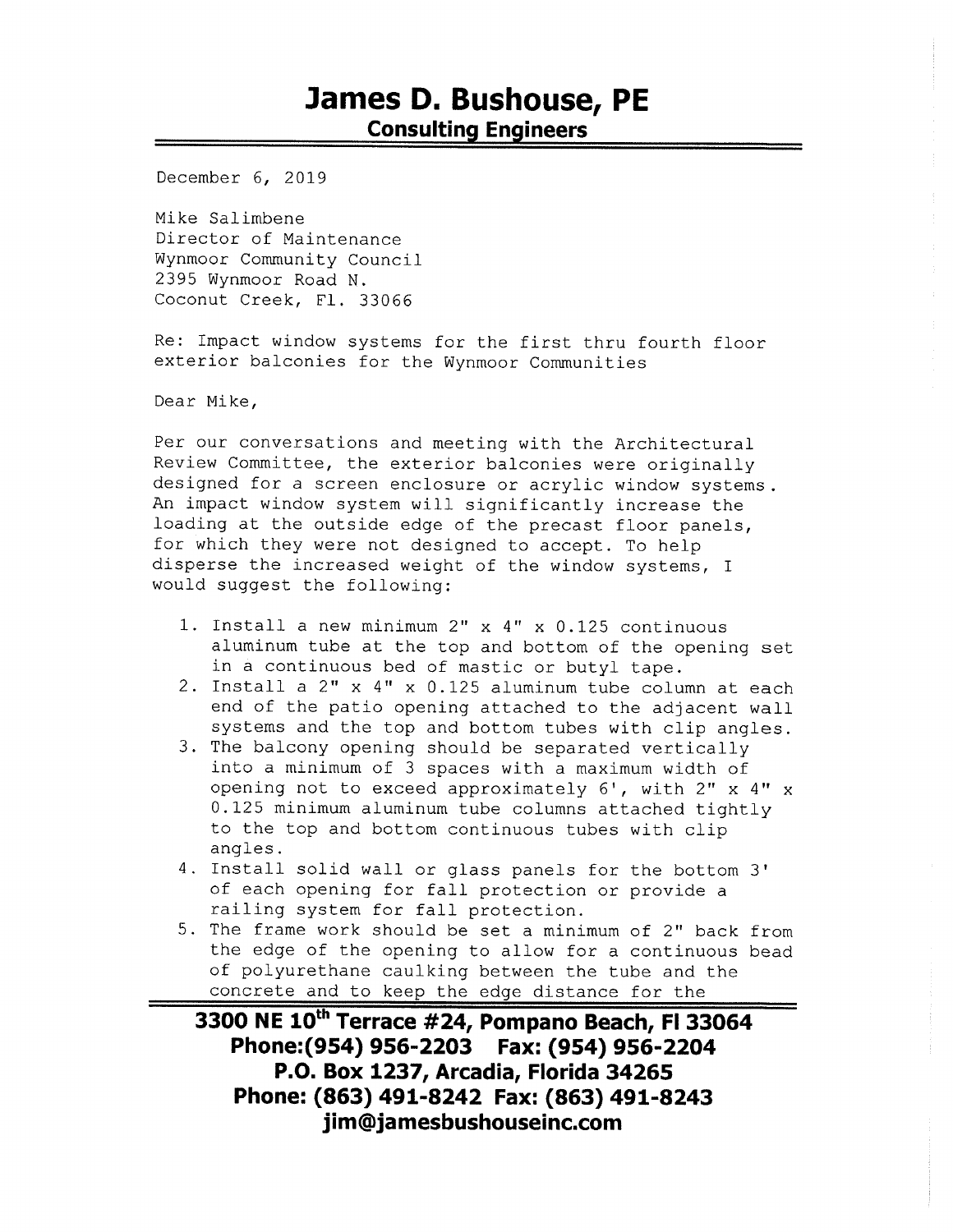## James D. Bushouse, PE **Consulting Engineers**

December 6, 2019

Mike Salimbene Director of Maintenance Wynmoor Community Council 2395 Wynmoor Road N. Coconut Creek, Fl. 33066

Re: Impact window systems for the first thru fourth floor exterior balconies for the Wynmoor Communities

Dear Mike,

Per our conversations and meeting with the Architectural Review Committee, the exterior balconies were originally designed for a screen enclosure or acrylic window systems. An impact window system will significantly increase the loading at the outside edge of the precast floor panels, for which they were not designed to accept. To help disperse the increased weight of the window systems, I would suggest the following:

- 1. Install a new minimum 2" x 4" x 0.125 continuous aluminum tube at the top and bottom of the opening set in a continuous bed of mastic or butyl tape.
- 2. Install a 2" x 4" x 0.125 aluminum tube column at each end of the patio opening attached to the adjacent wall systems and the top and bottom tubes with clip angles.
- 3. The balcony opening should be separated vertically into a minimum of 3 spaces with a maximum width of opening not to exceed approximately 6', with 2" x 4" x 0.125 minimum aluminum tube columns attached tightly to the top and bottom continuous tubes with clip angles.
- 4. Install solid wall or glass panels for the bottom 3' of each opening for fall protection or provide a railing system for fall protection.
- 5. The frame work should be set a minimum of 2" back from the edge of the opening to allow for a continuous bead of polyurethane caulking between the tube and the concrete and to keep the edge distance for the

3300 NE 10th Terrace #24, Pompano Beach, FI 33064 Phone: (954) 956-2203 Fax: (954) 956-2204 P.O. Box 1237, Arcadia, Florida 34265 Phone: (863) 491-8242 Fax: (863) 491-8243 jim@jamesbushouseinc.com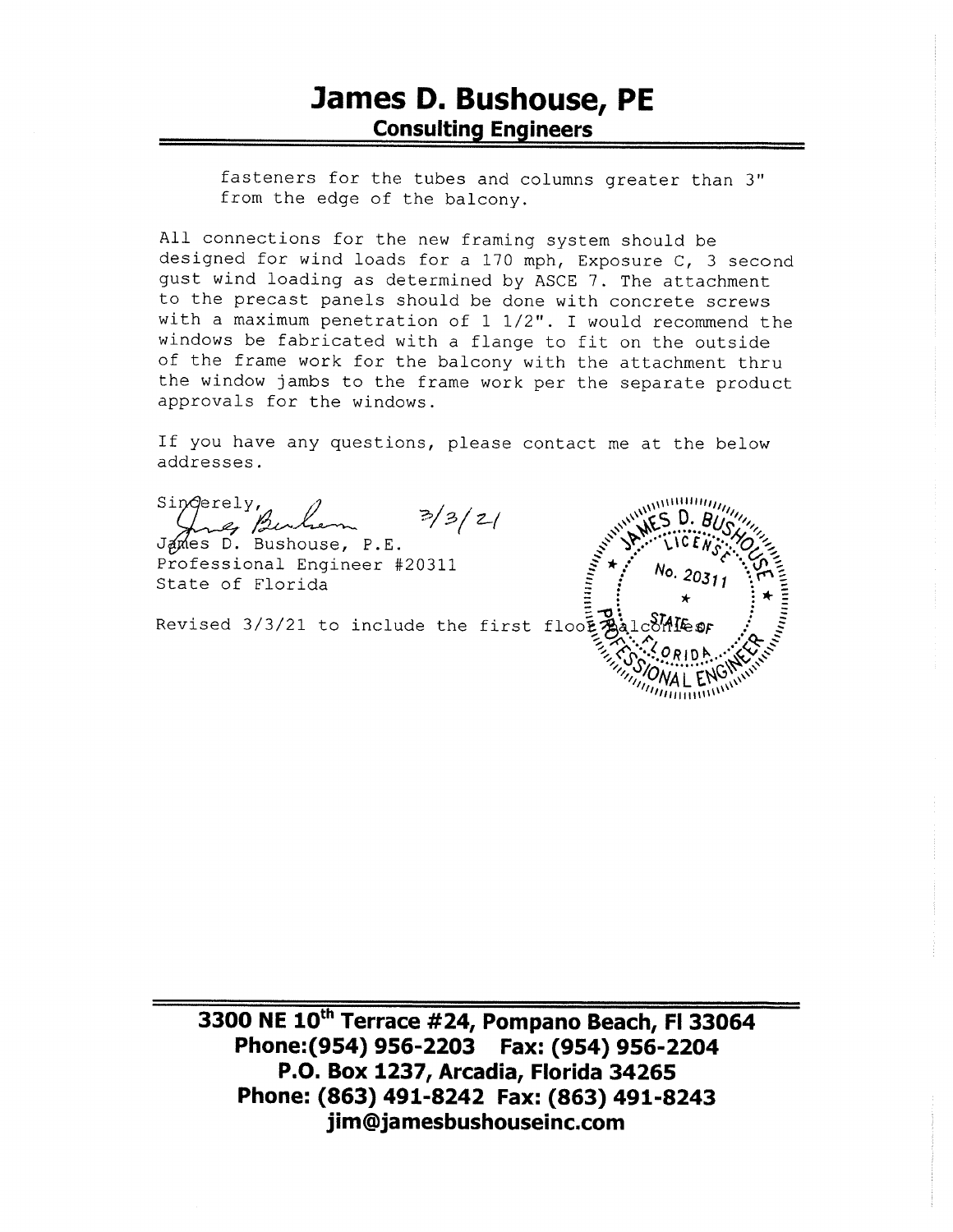fasteners for the tubes and columns greater than 3" from the edge of the balcony.

All connections for the new framing system should be designed for wind loads for a 170 mph, Exposure C, 3 second gust wind loading as determined by ASCE 7. The attachment to the precast panels should be done with concrete screws with a maximum penetration of 1 1/2". I would recommend the windows be fabricated with a flange to fit on the outside of the frame work for the balcony with the attachment thru the window jambs to the frame work per the separate product approvals for the windows.

If you have any questions, please contact me at the below addresses.

Sinderely,  $3/3/2/$ 

F20311<br>Revised 3/3/21 to include the first flooting

3300 NE 10<sup>th</sup> Terrace #24, Pompano Beach, FI 33064 Phone: (954) 956-2203 Fax: (954) 956-2204 P.O. Box 1237, Arcadia, Florida 34265 Phone: (863) 491-8242 Fax: (863) 491-8243 jim@jamesbushouseinc.com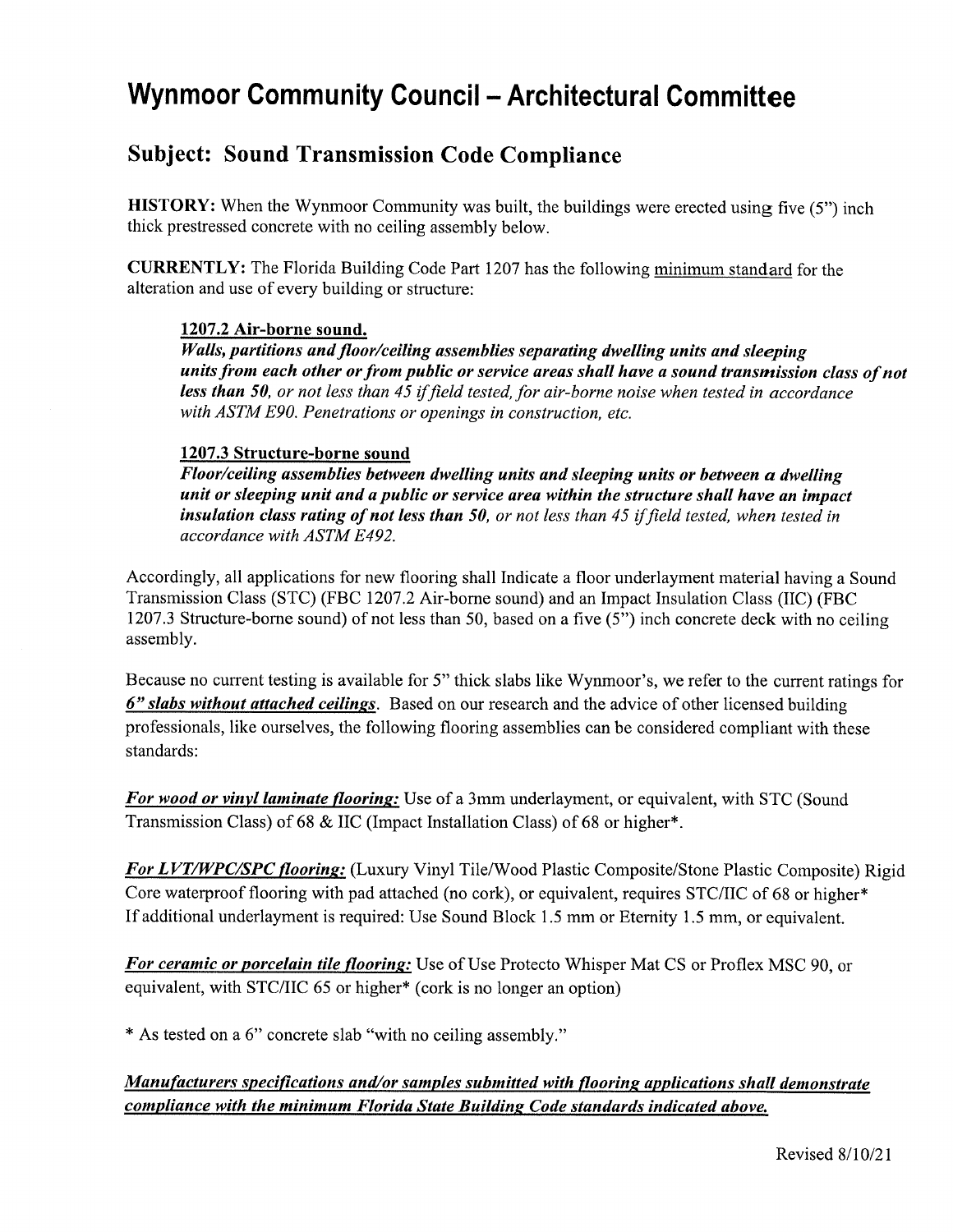# **Wynmoor Community Council - Architectural Committee**

#### **Subject: Sound Transmission Code Compliance**

**HISTORY:** When the Wynmoor Community was built, the buildings were erected using five  $(5)$  inch thick prestressed concrete with no ceiling assembly below.

**CURRENTLY:** The Florida Building Code Part 1207 has the following minimum standard for the alteration and use of every building or structure:

#### 1207.2 Air-borne sound.

Walls, partitions and floor/ceiling assemblies separating dwelling units and sleeping units from each other or from public or service areas shall have a sound transmission class of not less than 50, or not less than 45 if field tested, for air-borne noise when tested in accordance with ASTM E90. Penetrations or openings in construction, etc.

#### 1207.3 Structure-borne sound

Floor/ceiling assemblies between dwelling units and sleeping units or between a dwelling unit or sleeping unit and a public or service area within the structure shall have an impact insulation class rating of not less than 50, or not less than 45 if field tested, when tested in accordance with ASTM E492.

Accordingly, all applications for new flooring shall Indicate a floor underlayment material having a Sound Transmission Class (STC) (FBC 1207.2 Air-borne sound) and an Impact Insulation Class (IIC) (FBC 1207.3 Structure-borne sound) of not less than 50, based on a five (5") inch concrete deck with no ceiling assembly.

Because no current testing is available for 5" thick slabs like Wynmoor's, we refer to the current ratings for 6" slabs without attached ceilings. Based on our research and the advice of other licensed building professionals, like ourselves, the following flooring assemblies can be considered compliant with these standards:

For wood or vinyl laminate flooring: Use of a 3mm underlayment, or equivalent, with STC (Sound Transmission Class) of 68 & IIC (Impact Installation Class) of 68 or higher\*.

**For LVT/WPC/SPC flooring:** (Luxury Vinyl Tile/Wood Plastic Composite/Stone Plastic Composite) Rigid Core waterproof flooring with pad attached (no cork), or equivalent, requires STC/IIC of 68 or higher\* If additional underlayment is required: Use Sound Block 1.5 mm or Eternity 1.5 mm, or equivalent.

For ceramic or porcelain tile flooring: Use of Use Protecto Whisper Mat CS or Proflex MSC 90, or equivalent, with STC/IIC 65 or higher\* (cork is no longer an option)

\* As tested on a 6" concrete slab "with no ceiling assembly."

#### Manufacturers specifications and/or samples submitted with flooring applications shall demonstrate compliance with the minimum Florida State Building Code standards indicated above.

Revised 8/10/21